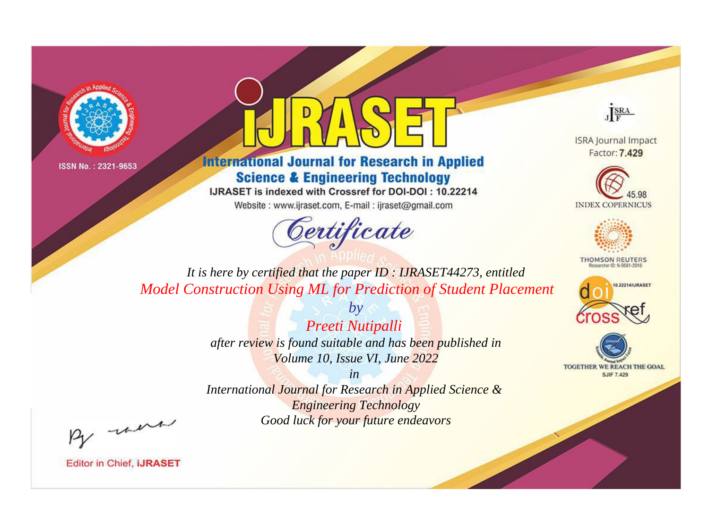



**International Journal for Research in Applied Science & Engineering Technology** 

IJRASET is indexed with Crossref for DOI-DOI: 10.22214

Website: www.ijraset.com, E-mail: ijraset@gmail.com



JERA

**ISRA Journal Impact** Factor: 7.429





**THOMSON REUTERS** 



TOGETHER WE REACH THE GOAL **SJIF 7.429** 

*It is here by certified that the paper ID : IJRASET44273, entitled Model Construction Using ML for Prediction of Student Placement*

> *by Preeti Nutipalli after review is found suitable and has been published in Volume 10, Issue VI, June 2022*

> > *in*

*International Journal for Research in Applied Science & Engineering Technology Good luck for your future endeavors*

By morn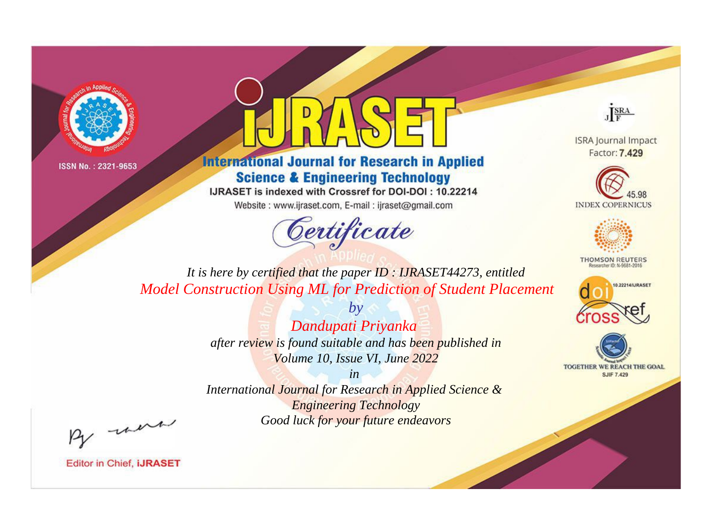



**International Journal for Research in Applied Science & Engineering Technology** 

IJRASET is indexed with Crossref for DOI-DOI: 10.22214

Website: www.ijraset.com, E-mail: ijraset@gmail.com





**ISRA Journal Impact** Factor: 7.429





**THOMSON REUTERS** 



TOGETHER WE REACH THE GOAL **SJIF 7.429** 

*It is here by certified that the paper ID : IJRASET44273, entitled Model Construction Using ML for Prediction of Student Placement*

> *Dandupati Priyanka after review is found suitable and has been published in Volume 10, Issue VI, June 2022*

*by*

*in International Journal for Research in Applied Science & Engineering Technology Good luck for your future endeavors*

By morn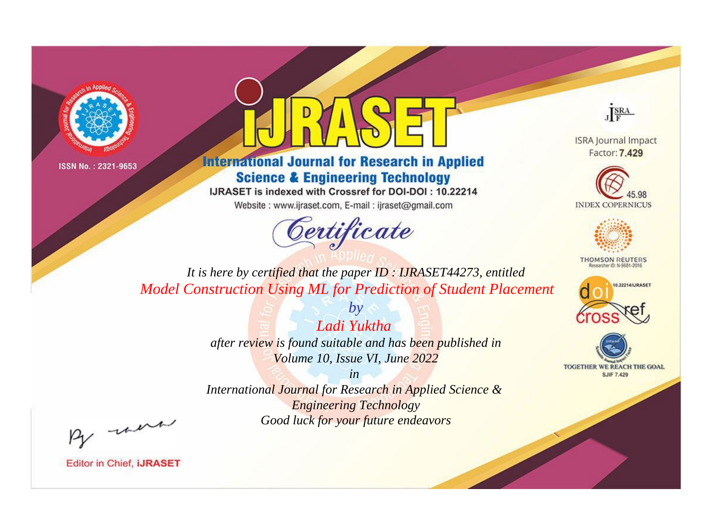



**International Journal for Research in Applied Science & Engineering Technology** 

IJRASET is indexed with Crossref for DOI-DOI: 10.22214

Website: www.ijraset.com, E-mail: ijraset@gmail.com



JERA

**ISRA Journal Impact** Factor: 7.429





**THOMSON REUTERS** 



TOGETHER WE REACH THE GOAL **SJIF 7.429** 

*It is here by certified that the paper ID : IJRASET44273, entitled Model Construction Using ML for Prediction of Student Placement*

> *by Ladi Yuktha after review is found suitable and has been published in Volume 10, Issue VI, June 2022*

> > *in*

*International Journal for Research in Applied Science & Engineering Technology Good luck for your future endeavors*

By morn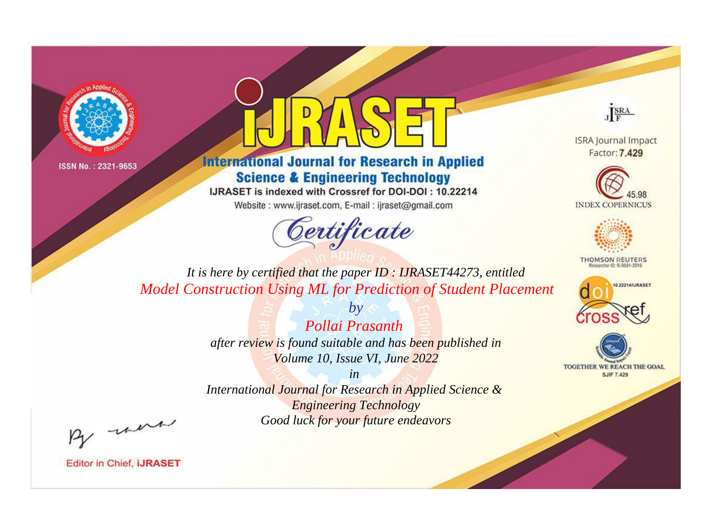



**International Journal for Research in Applied Science & Engineering Technology** 

IJRASET is indexed with Crossref for DOI-DOI: 10.22214

Website: www.ijraset.com, E-mail: ijraset@gmail.com



JERA

**ISRA Journal Impact** Factor: 7.429





**THOMSON REUTERS** 



TOGETHER WE REACH THE GOAL **SJIF 7.429** 

*It is here by certified that the paper ID : IJRASET44273, entitled Model Construction Using ML for Prediction of Student Placement*

> *Pollai Prasanth after review is found suitable and has been published in Volume 10, Issue VI, June 2022*

*by*

*in* 

*International Journal for Research in Applied Science & Engineering Technology Good luck for your future endeavors*

By morn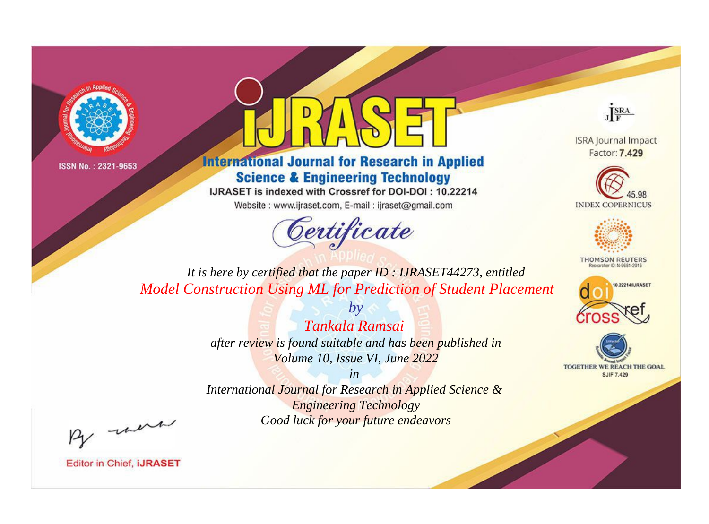



**International Journal for Research in Applied Science & Engineering Technology** 

IJRASET is indexed with Crossref for DOI-DOI: 10.22214

Website: www.ijraset.com, E-mail: ijraset@gmail.com



JERA

**ISRA Journal Impact** Factor: 7.429





**THOMSON REUTERS** 



TOGETHER WE REACH THE GOAL **SJIF 7.429** 

*It is here by certified that the paper ID : IJRASET44273, entitled Model Construction Using ML for Prediction of Student Placement*

> *by Tankala Ramsai after review is found suitable and has been published in Volume 10, Issue VI, June 2022*

> > *in*

*International Journal for Research in Applied Science & Engineering Technology Good luck for your future endeavors*

By morn